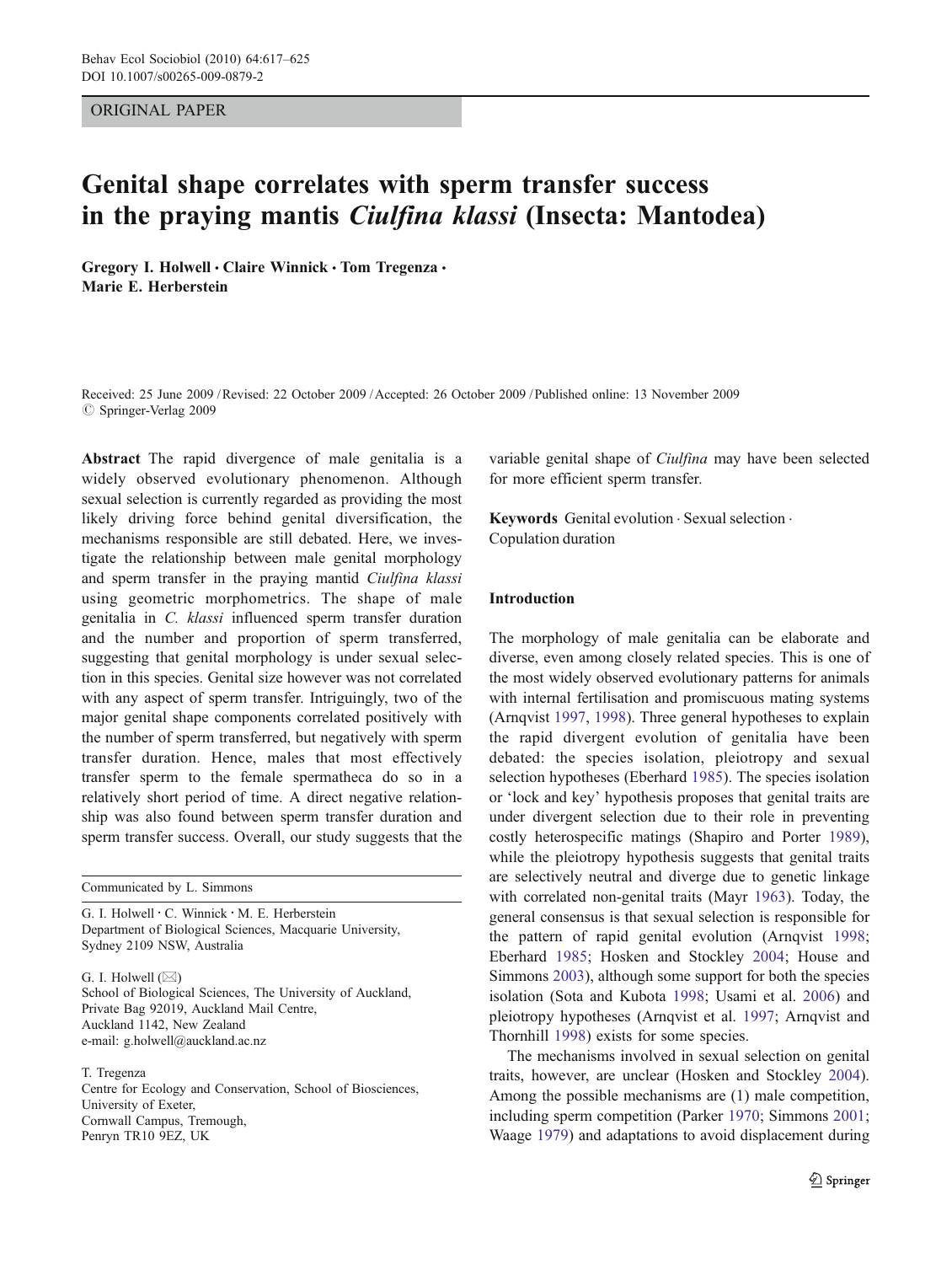# ORIGINAL PAPER

# Genital shape correlates with sperm transfer success in the praying mantis Ciulfina klassi (Insecta: Mantodea)

Gregory I. Holwell . Claire Winnick . Tom Tregenza . Marie E. Herberstein

Received: 25 June 2009 /Revised: 22 October 2009 /Accepted: 26 October 2009 / Published online: 13 November 2009  $\oslash$  Springer-Verlag 2009

Abstract The rapid divergence of male genitalia is a widely observed evolutionary phenomenon. Although sexual selection is currently regarded as providing the most likely driving force behind genital diversification, the mechanisms responsible are still debated. Here, we investigate the relationship between male genital morphology and sperm transfer in the praying mantid Ciulfina klassi using geometric morphometrics. The shape of male genitalia in C. klassi influenced sperm transfer duration and the number and proportion of sperm transferred, suggesting that genital morphology is under sexual selection in this species. Genital size however was not correlated with any aspect of sperm transfer. Intriguingly, two of the major genital shape components correlated positively with the number of sperm transferred, but negatively with sperm transfer duration. Hence, males that most effectively transfer sperm to the female spermatheca do so in a relatively short period of time. A direct negative relationship was also found between sperm transfer duration and sperm transfer success. Overall, our study suggests that the

Communicated by L. Simmons

G. I. Holwell : C. Winnick : M. E. Herberstein Department of Biological Sciences, Macquarie University, Sydney 2109 NSW, Australia

G. I. Holwell (*\**) School of Biological Sciences, The University of Auckland, Private Bag 92019, Auckland Mail Centre, Auckland 1142, New Zealand e-mail: g.holwell@auckland.ac.nz

T. Tregenza

Centre for Ecology and Conservation, School of Biosciences, University of Exeter, Cornwall Campus, Tremough, Penryn TR10 9EZ, UK

variable genital shape of Ciulfina may have been selected for more efficient sperm transfer.

Keywords Genital evolution . Sexual selection . Copulation duration

# Introduction

The morphology of male genitalia can be elaborate and diverse, even among closely related species. This is one of the most widely observed evolutionary patterns for animals with internal fertilisation and promiscuous mating systems (Arnqvist [1997,](#page-7-0) [1998\)](#page-7-0). Three general hypotheses to explain the rapid divergent evolution of genitalia have been debated: the species isolation, pleiotropy and sexual selection hypotheses (Eberhard [1985\)](#page-7-0). The species isolation or 'lock and key' hypothesis proposes that genital traits are under divergent selection due to their role in preventing costly heterospecific matings (Shapiro and Porter [1989\)](#page-8-0), while the pleiotropy hypothesis suggests that genital traits are selectively neutral and diverge due to genetic linkage with correlated non-genital traits (Mayr [1963\)](#page-8-0). Today, the general consensus is that sexual selection is responsible for the pattern of rapid genital evolution (Arnqvist [1998;](#page-7-0) Eberhard [1985;](#page-7-0) Hosken and Stockley [2004](#page-7-0); House and Simmons [2003](#page-7-0)), although some support for both the species isolation (Sota and Kubota [1998;](#page-8-0) Usami et al. [2006\)](#page-8-0) and pleiotropy hypotheses (Arnqvist et al. [1997;](#page-7-0) Arnqvist and Thornhill [1998\)](#page-7-0) exists for some species.

The mechanisms involved in sexual selection on genital traits, however, are unclear (Hosken and Stockley [2004\)](#page-7-0). Among the possible mechanisms are (1) male competition, including sperm competition (Parker [1970;](#page-8-0) Simmons [2001;](#page-8-0) Waage [1979\)](#page-8-0) and adaptations to avoid displacement during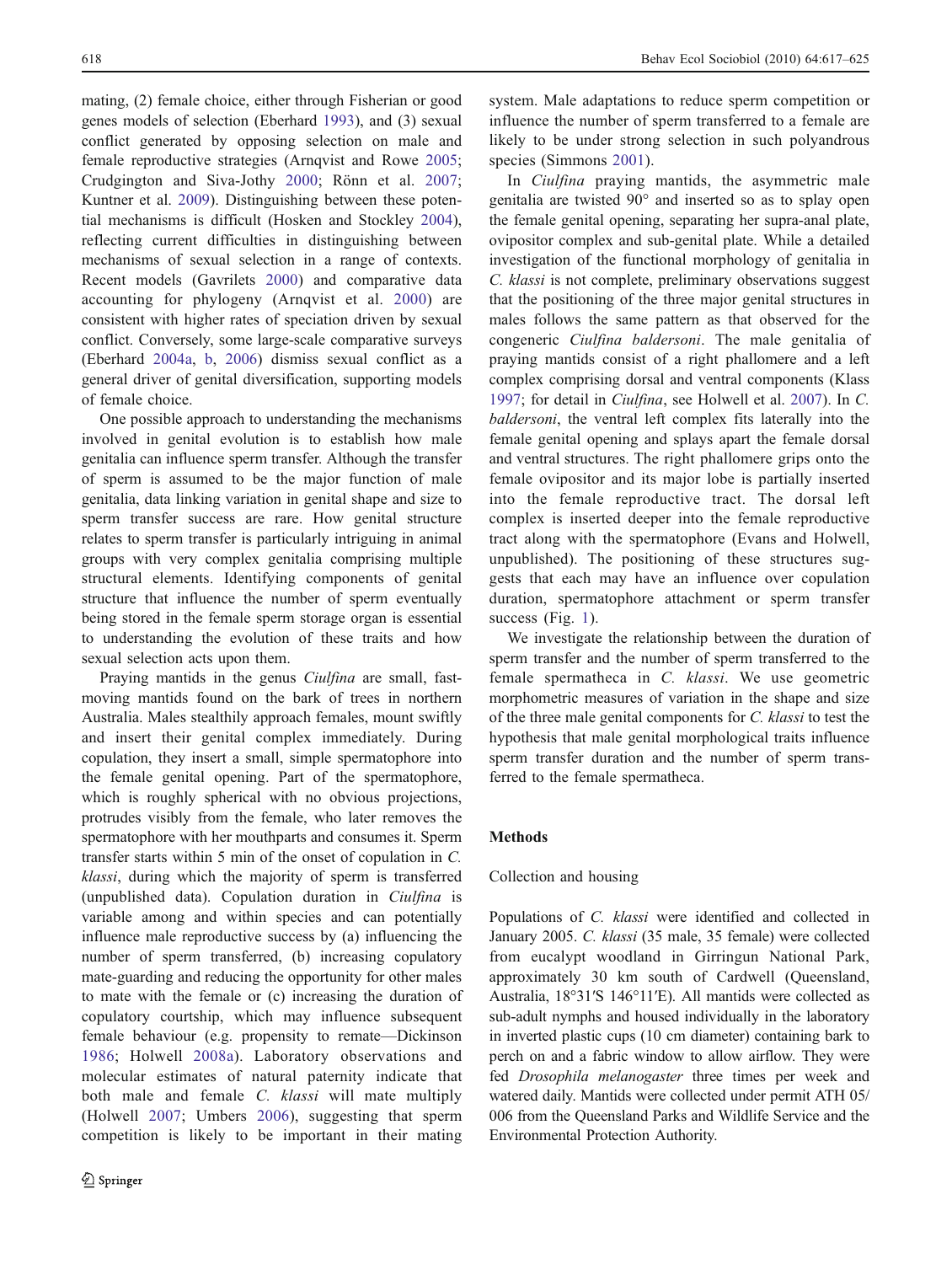mating, (2) female choice, either through Fisherian or good genes models of selection (Eberhard [1993](#page-7-0)), and (3) sexual conflict generated by opposing selection on male and female reproductive strategies (Arnqvist and Rowe [2005](#page-7-0); Crudgington and Siva-Jothy [2000](#page-7-0); Rönn et al. [2007](#page-8-0); Kuntner et al. [2009](#page-8-0)). Distinguishing between these potential mechanisms is difficult (Hosken and Stockley [2004](#page-7-0)), reflecting current difficulties in distinguishing between mechanisms of sexual selection in a range of contexts. Recent models (Gavrilets [2000\)](#page-7-0) and comparative data accounting for phylogeny (Arnqvist et al. [2000](#page-7-0)) are consistent with higher rates of speciation driven by sexual conflict. Conversely, some large-scale comparative surveys (Eberhard [2004a](#page-7-0), [b](#page-7-0), [2006](#page-7-0)) dismiss sexual conflict as a general driver of genital diversification, supporting models of female choice.

One possible approach to understanding the mechanisms involved in genital evolution is to establish how male genitalia can influence sperm transfer. Although the transfer of sperm is assumed to be the major function of male genitalia, data linking variation in genital shape and size to sperm transfer success are rare. How genital structure relates to sperm transfer is particularly intriguing in animal groups with very complex genitalia comprising multiple structural elements. Identifying components of genital structure that influence the number of sperm eventually being stored in the female sperm storage organ is essential to understanding the evolution of these traits and how sexual selection acts upon them.

Praying mantids in the genus Ciulfina are small, fastmoving mantids found on the bark of trees in northern Australia. Males stealthily approach females, mount swiftly and insert their genital complex immediately. During copulation, they insert a small, simple spermatophore into the female genital opening. Part of the spermatophore, which is roughly spherical with no obvious projections, protrudes visibly from the female, who later removes the spermatophore with her mouthparts and consumes it. Sperm transfer starts within 5 min of the onset of copulation in C. klassi, during which the majority of sperm is transferred (unpublished data). Copulation duration in Ciulfina is variable among and within species and can potentially influence male reproductive success by (a) influencing the number of sperm transferred, (b) increasing copulatory mate-guarding and reducing the opportunity for other males to mate with the female or (c) increasing the duration of copulatory courtship, which may influence subsequent female behaviour (e.g. propensity to remate—Dickinson [1986;](#page-7-0) Holwell [2008a](#page-7-0)). Laboratory observations and molecular estimates of natural paternity indicate that both male and female C. klassi will mate multiply (Holwell [2007;](#page-7-0) Umbers [2006](#page-8-0)), suggesting that sperm competition is likely to be important in their mating

system. Male adaptations to reduce sperm competition or influence the number of sperm transferred to a female are likely to be under strong selection in such polyandrous species (Simmons [2001\)](#page-8-0).

In Ciulfina praying mantids, the asymmetric male genitalia are twisted 90° and inserted so as to splay open the female genital opening, separating her supra-anal plate, ovipositor complex and sub-genital plate. While a detailed investigation of the functional morphology of genitalia in C. klassi is not complete, preliminary observations suggest that the positioning of the three major genital structures in males follows the same pattern as that observed for the congeneric Ciulfina baldersoni. The male genitalia of praying mantids consist of a right phallomere and a left complex comprising dorsal and ventral components (Klass [1997](#page-8-0); for detail in Ciulfina, see Holwell et al. [2007\)](#page-7-0). In C. baldersoni, the ventral left complex fits laterally into the female genital opening and splays apart the female dorsal and ventral structures. The right phallomere grips onto the female ovipositor and its major lobe is partially inserted into the female reproductive tract. The dorsal left complex is inserted deeper into the female reproductive tract along with the spermatophore (Evans and Holwell, unpublished). The positioning of these structures suggests that each may have an influence over copulation duration, spermatophore attachment or sperm transfer success (Fig. [1\)](#page-2-0).

We investigate the relationship between the duration of sperm transfer and the number of sperm transferred to the female spermatheca in C. klassi. We use geometric morphometric measures of variation in the shape and size of the three male genital components for C. klassi to test the hypothesis that male genital morphological traits influence sperm transfer duration and the number of sperm transferred to the female spermatheca.

## Methods

## Collection and housing

Populations of C. klassi were identified and collected in January 2005. C. klassi (35 male, 35 female) were collected from eucalypt woodland in Girringun National Park, approximately 30 km south of Cardwell (Queensland, Australia, 18°31′S 146°11′E). All mantids were collected as sub-adult nymphs and housed individually in the laboratory in inverted plastic cups (10 cm diameter) containing bark to perch on and a fabric window to allow airflow. They were fed Drosophila melanogaster three times per week and watered daily. Mantids were collected under permit ATH 05/ 006 from the Queensland Parks and Wildlife Service and the Environmental Protection Authority.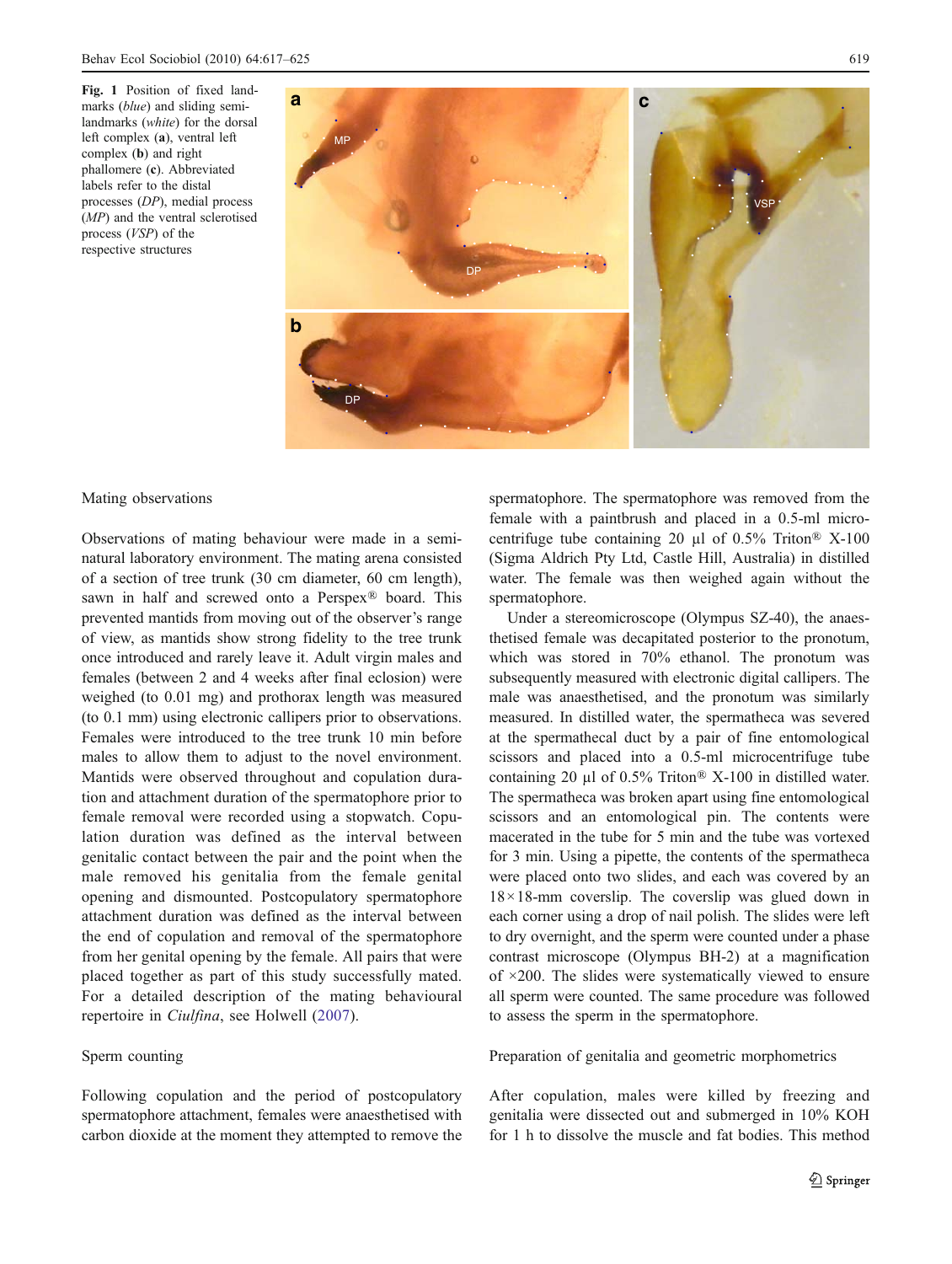<span id="page-2-0"></span>processes (DP), medial process (MP) and the ventral sclerotised

process (VSP) of the respective structures



Mating observations

Observations of mating behaviour were made in a seminatural laboratory environment. The mating arena consisted of a section of tree trunk (30 cm diameter, 60 cm length), sawn in half and screwed onto a Perspex® board. This prevented mantids from moving out of the observer's range of view, as mantids show strong fidelity to the tree trunk once introduced and rarely leave it. Adult virgin males and females (between 2 and 4 weeks after final eclosion) were weighed (to 0.01 mg) and prothorax length was measured (to 0.1 mm) using electronic callipers prior to observations. Females were introduced to the tree trunk 10 min before males to allow them to adjust to the novel environment. Mantids were observed throughout and copulation duration and attachment duration of the spermatophore prior to female removal were recorded using a stopwatch. Copulation duration was defined as the interval between genitalic contact between the pair and the point when the male removed his genitalia from the female genital opening and dismounted. Postcopulatory spermatophore attachment duration was defined as the interval between the end of copulation and removal of the spermatophore from her genital opening by the female. All pairs that were placed together as part of this study successfully mated. For a detailed description of the mating behavioural repertoire in Ciulfina, see Holwell ([2007](#page-7-0)).

## Sperm counting

Following copulation and the period of postcopulatory spermatophore attachment, females were anaesthetised with carbon dioxide at the moment they attempted to remove the spermatophore. The spermatophore was removed from the female with a paintbrush and placed in a 0.5-ml microcentrifuge tube containing 20  $\mu$ l of 0.5% Triton<sup>®</sup> X-100 (Sigma Aldrich Pty Ltd, Castle Hill, Australia) in distilled water. The female was then weighed again without the spermatophore.

Under a stereomicroscope (Olympus SZ-40), the anaesthetised female was decapitated posterior to the pronotum, which was stored in 70% ethanol. The pronotum was subsequently measured with electronic digital callipers. The male was anaesthetised, and the pronotum was similarly measured. In distilled water, the spermatheca was severed at the spermathecal duct by a pair of fine entomological scissors and placed into a 0.5-ml microcentrifuge tube containing 20  $\mu$ l of 0.5% Triton<sup>®</sup> X-100 in distilled water. The spermatheca was broken apart using fine entomological scissors and an entomological pin. The contents were macerated in the tube for 5 min and the tube was vortexed for 3 min. Using a pipette, the contents of the spermatheca were placed onto two slides, and each was covered by an  $18 \times 18$ -mm coverslip. The coverslip was glued down in each corner using a drop of nail polish. The slides were left to dry overnight, and the sperm were counted under a phase contrast microscope (Olympus BH-2) at a magnification of ×200. The slides were systematically viewed to ensure all sperm were counted. The same procedure was followed to assess the sperm in the spermatophore.

## Preparation of genitalia and geometric morphometrics

After copulation, males were killed by freezing and genitalia were dissected out and submerged in 10% KOH for 1 h to dissolve the muscle and fat bodies. This method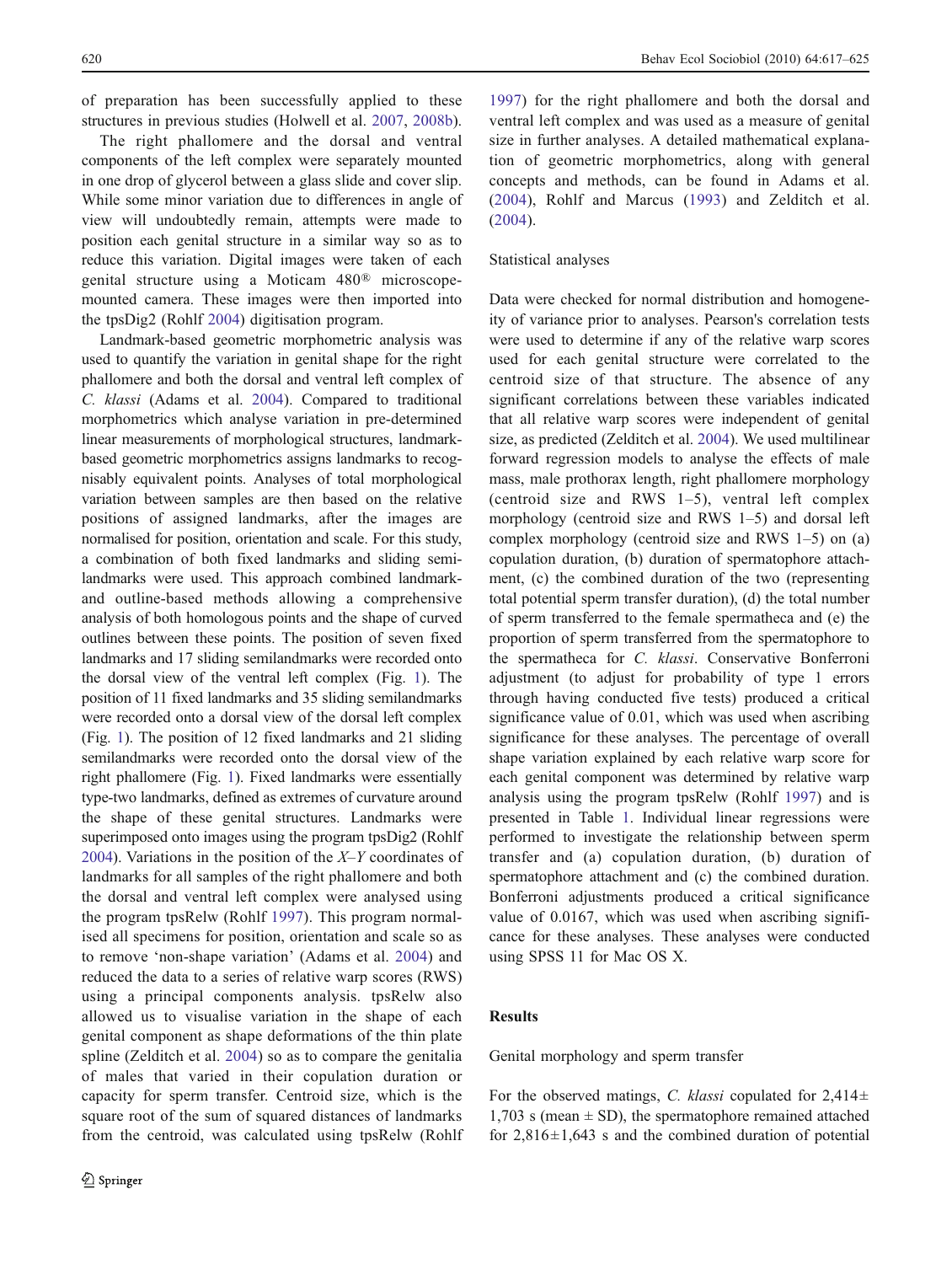of preparation has been successfully applied to these structures in previous studies (Holwell et al. [2007,](#page-7-0) [2008b](#page-7-0)).

The right phallomere and the dorsal and ventral components of the left complex were separately mounted in one drop of glycerol between a glass slide and cover slip. While some minor variation due to differences in angle of view will undoubtedly remain, attempts were made to position each genital structure in a similar way so as to reduce this variation. Digital images were taken of each genital structure using a Moticam 480® microscopemounted camera. These images were then imported into the tpsDig2 (Rohlf [2004](#page-8-0)) digitisation program.

Landmark-based geometric morphometric analysis was used to quantify the variation in genital shape for the right phallomere and both the dorsal and ventral left complex of C. klassi (Adams et al. [2004\)](#page-7-0). Compared to traditional morphometrics which analyse variation in pre-determined linear measurements of morphological structures, landmarkbased geometric morphometrics assigns landmarks to recognisably equivalent points. Analyses of total morphological variation between samples are then based on the relative positions of assigned landmarks, after the images are normalised for position, orientation and scale. For this study, a combination of both fixed landmarks and sliding semilandmarks were used. This approach combined landmarkand outline-based methods allowing a comprehensive analysis of both homologous points and the shape of curved outlines between these points. The position of seven fixed landmarks and 17 sliding semilandmarks were recorded onto the dorsal view of the ventral left complex (Fig. [1\)](#page-2-0). The position of 11 fixed landmarks and 35 sliding semilandmarks were recorded onto a dorsal view of the dorsal left complex (Fig. [1\)](#page-2-0). The position of 12 fixed landmarks and 21 sliding semilandmarks were recorded onto the dorsal view of the right phallomere (Fig. [1](#page-2-0)). Fixed landmarks were essentially type-two landmarks, defined as extremes of curvature around the shape of these genital structures. Landmarks were superimposed onto images using the program tpsDig2 (Rohlf [2004\)](#page-8-0). Variations in the position of the  $X-Y$  coordinates of landmarks for all samples of the right phallomere and both the dorsal and ventral left complex were analysed using the program tpsRelw (Rohlf [1997\)](#page-8-0). This program normalised all specimens for position, orientation and scale so as to remove 'non-shape variation' (Adams et al. [2004\)](#page-7-0) and reduced the data to a series of relative warp scores (RWS) using a principal components analysis. tpsRelw also allowed us to visualise variation in the shape of each genital component as shape deformations of the thin plate spline (Zelditch et al. [2004](#page-8-0)) so as to compare the genitalia of males that varied in their copulation duration or capacity for sperm transfer. Centroid size, which is the square root of the sum of squared distances of landmarks from the centroid, was calculated using tpsRelw (Rohlf

[1997](#page-8-0)) for the right phallomere and both the dorsal and ventral left complex and was used as a measure of genital size in further analyses. A detailed mathematical explanation of geometric morphometrics, along with general concepts and methods, can be found in Adams et al. [\(2004\)](#page-7-0), Rohlf and Marcus [\(1993\)](#page-8-0) and Zelditch et al. [\(2004\)](#page-8-0).

# Statistical analyses

Data were checked for normal distribution and homogeneity of variance prior to analyses. Pearson's correlation tests were used to determine if any of the relative warp scores used for each genital structure were correlated to the centroid size of that structure. The absence of any significant correlations between these variables indicated that all relative warp scores were independent of genital size, as predicted (Zelditch et al. [2004\)](#page-8-0). We used multilinear forward regression models to analyse the effects of male mass, male prothorax length, right phallomere morphology (centroid size and RWS 1–5), ventral left complex morphology (centroid size and RWS 1–5) and dorsal left complex morphology (centroid size and RWS 1–5) on (a) copulation duration, (b) duration of spermatophore attachment, (c) the combined duration of the two (representing total potential sperm transfer duration), (d) the total number of sperm transferred to the female spermatheca and (e) the proportion of sperm transferred from the spermatophore to the spermatheca for C. klassi. Conservative Bonferroni adjustment (to adjust for probability of type 1 errors through having conducted five tests) produced a critical significance value of 0.01, which was used when ascribing significance for these analyses. The percentage of overall shape variation explained by each relative warp score for each genital component was determined by relative warp analysis using the program tpsRelw (Rohlf [1997\)](#page-8-0) and is presented in Table [1](#page-4-0). Individual linear regressions were performed to investigate the relationship between sperm transfer and (a) copulation duration, (b) duration of spermatophore attachment and (c) the combined duration. Bonferroni adjustments produced a critical significance value of 0.0167, which was used when ascribing significance for these analyses. These analyses were conducted using SPSS 11 for Mac OS X.

# Results

Genital morphology and sperm transfer

For the observed matings, C. klassi copulated for  $2,414\pm$ 1,703 s (mean  $\pm$  SD), the spermatophore remained attached for  $2,816\pm1,643$  s and the combined duration of potential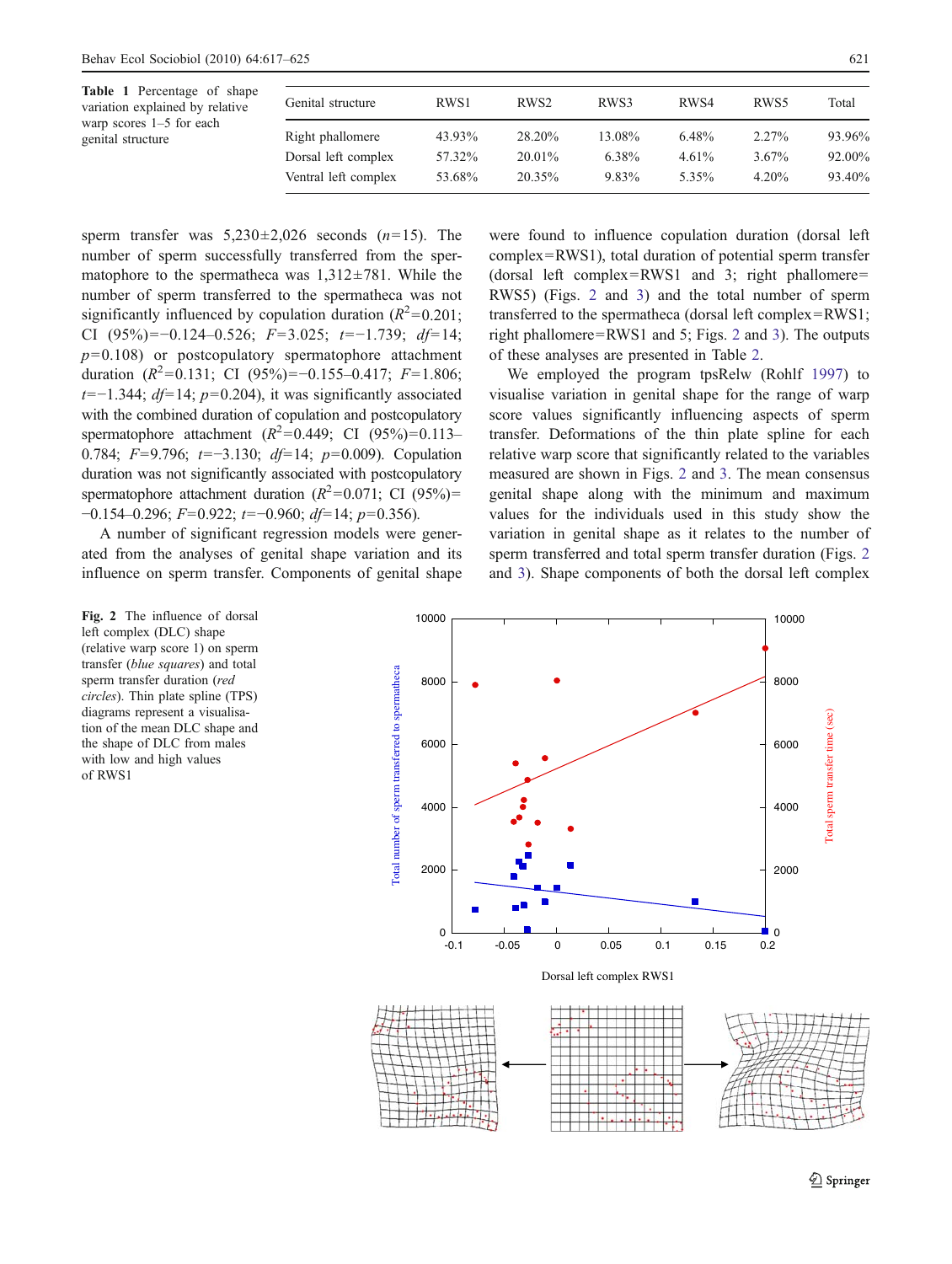<span id="page-4-0"></span>Table 1 Percentage of shape variation explained by relative warp scores 1–5 for each genital structure

| Genital structure    | RWS <sub>1</sub> | RWS <sub>2</sub> | RWS3   | RWS4  | RWS <sub>5</sub> | Total  |
|----------------------|------------------|------------------|--------|-------|------------------|--------|
| Right phallomere     | 43.93%           | 28.20%           | 13.08% | 6.48% | $2.27\%$         | 93.96% |
| Dorsal left complex  | 57.32%           | 20.01%           | 6.38%  | 4.61% | $3.67\%$         | 92.00% |
| Ventral left complex | 53.68%           | 20.35%           | 9.83%  | 5.35% | $4.20\%$         | 93.40% |

sperm transfer was  $5,230\pm2,026$  seconds  $(n=15)$ . The number of sperm successfully transferred from the spermatophore to the spermatheca was  $1,312\pm781$ . While the number of sperm transferred to the spermatheca was not significantly influenced by copulation duration  $(R^2=0.201;$ CI  $(95\%) = -0.124 - 0.526$ ;  $F = 3.025$ ;  $t = -1.739$ ;  $df = 14$ ;  $p=0.108$ ) or postcopulatory spermatophore attachment duration  $(R^2=0.131; \text{ CI } (95\%) = -0.155 - 0.417; F=1.806;$  $t=-1.344$ ;  $df=14$ ;  $p=0.204$ ), it was significantly associated with the combined duration of copulation and postcopulatory spermatophore attachment  $(R^2=0.449; \text{ CI } (95\%)=0.113-$ 0.784;  $F=9.796$ ;  $t=-3.130$ ;  $df=14$ ;  $p=0.009$ ). Copulation duration was not significantly associated with postcopulatory spermatophore attachment duration ( $R^2$ =0.071; CI (95%)=  $-0.154-0.296$ ;  $F=0.922$ ;  $t=-0.960$ ;  $df=14$ ;  $p=0.356$ ).

A number of significant regression models were generated from the analyses of genital shape variation and its influence on sperm transfer. Components of genital shape

Fig. 2 The influence of dorsal left complex (DLC) shape (relative warp score 1) on sperm transfer (blue squares) and total sperm transfer duration (red circles). Thin plate spline (TPS) diagrams represent a visualisation of the mean DLC shape and the shape of DLC from males with low and high values of RWS1

were found to influence copulation duration (dorsal left complex=RWS1), total duration of potential sperm transfer (dorsal left complex=RWS1 and 3; right phallomere= RWS5) (Figs. 2 and [3](#page-5-0)) and the total number of sperm transferred to the spermatheca (dorsal left complex=RWS1; right phallomere=RWS1 and 5; Figs. 2 and [3](#page-5-0)). The outputs of these analyses are presented in Table [2](#page-6-0).

We employed the program tpsRelw (Rohlf [1997\)](#page-8-0) to visualise variation in genital shape for the range of warp score values significantly influencing aspects of sperm transfer. Deformations of the thin plate spline for each relative warp score that significantly related to the variables measured are shown in Figs. 2 and [3](#page-5-0). The mean consensus genital shape along with the minimum and maximum values for the individuals used in this study show the variation in genital shape as it relates to the number of sperm transferred and total sperm transfer duration (Figs. 2 and [3\)](#page-5-0). Shape components of both the dorsal left complex

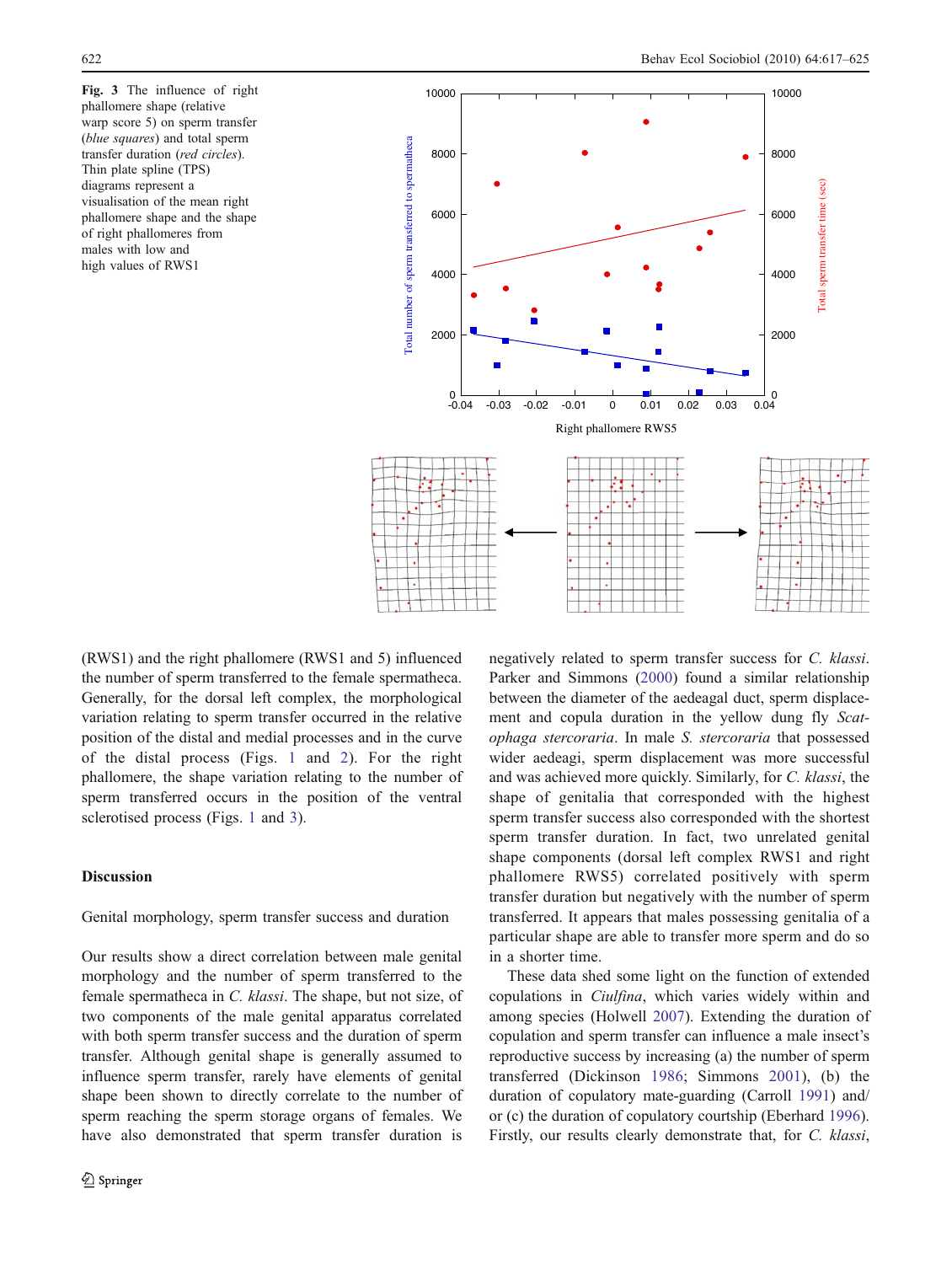<span id="page-5-0"></span>Fig. 3 The influence of right phallomere shape (relative warp score 5) on sperm transfer (blue squares) and total sperm transfer duration (red circles). Thin plate spline (TPS) diagrams represent a visualisation of the mean right phallomere shape and the shape of right phallomeres from males with low and high values of RWS1



(RWS1) and the right phallomere (RWS1 and 5) influenced the number of sperm transferred to the female spermatheca. Generally, for the dorsal left complex, the morphological variation relating to sperm transfer occurred in the relative position of the distal and medial processes and in the curve of the distal process (Figs. [1](#page-2-0) and [2](#page-4-0)). For the right phallomere, the shape variation relating to the number of sperm transferred occurs in the position of the ventral sclerotised process (Figs. [1](#page-2-0) and 3).

# Discussion

#### Genital morphology, sperm transfer success and duration

Our results show a direct correlation between male genital morphology and the number of sperm transferred to the female spermatheca in C. klassi. The shape, but not size, of two components of the male genital apparatus correlated with both sperm transfer success and the duration of sperm transfer. Although genital shape is generally assumed to influence sperm transfer, rarely have elements of genital shape been shown to directly correlate to the number of sperm reaching the sperm storage organs of females. We have also demonstrated that sperm transfer duration is

negatively related to sperm transfer success for C. klassi. Parker and Simmons ([2000\)](#page-8-0) found a similar relationship between the diameter of the aedeagal duct, sperm displacement and copula duration in the yellow dung fly Scatophaga stercoraria. In male S. stercoraria that possessed wider aedeagi, sperm displacement was more successful and was achieved more quickly. Similarly, for C. klassi, the shape of genitalia that corresponded with the highest sperm transfer success also corresponded with the shortest sperm transfer duration. In fact, two unrelated genital shape components (dorsal left complex RWS1 and right phallomere RWS5) correlated positively with sperm transfer duration but negatively with the number of sperm transferred. It appears that males possessing genitalia of a particular shape are able to transfer more sperm and do so in a shorter time.

These data shed some light on the function of extended copulations in Ciulfina, which varies widely within and among species (Holwell [2007\)](#page-7-0). Extending the duration of copulation and sperm transfer can influence a male insect's reproductive success by increasing (a) the number of sperm transferred (Dickinson [1986;](#page-7-0) Simmons [2001\)](#page-8-0), (b) the duration of copulatory mate-guarding (Carroll [1991\)](#page-7-0) and/ or (c) the duration of copulatory courtship (Eberhard [1996\)](#page-7-0). Firstly, our results clearly demonstrate that, for C. klassi,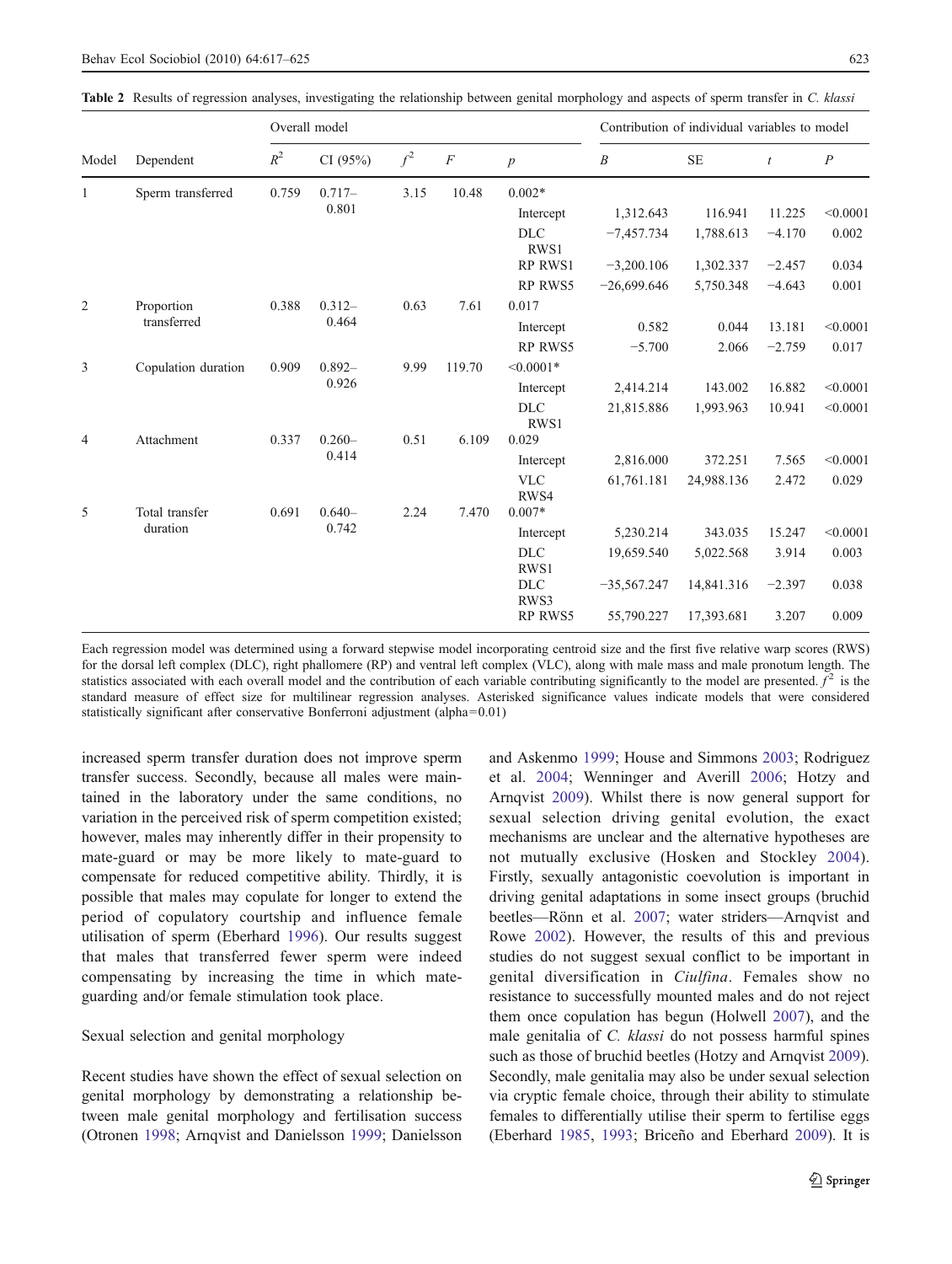<span id="page-6-0"></span>Table 2 Results of regression analyses, investigating the relationship between genital morphology and aspects of sperm transfer in C. klassi

| Model          | Dependent                  | Overall model |                    |       |                  | Contribution of individual variables to model |                  |            |                |                  |
|----------------|----------------------------|---------------|--------------------|-------|------------------|-----------------------------------------------|------------------|------------|----------------|------------------|
|                |                            | $R^2$         | CI(95%)            | $f^2$ | $\boldsymbol{F}$ | $\overline{p}$                                | $\boldsymbol{B}$ | <b>SE</b>  | $\mathfrak{t}$ | $\boldsymbol{P}$ |
| 1              | Sperm transferred          | 0.759         | $0.717-$<br>0.801  | 3.15  | 10.48            | $0.002*$                                      |                  |            |                |                  |
|                |                            |               |                    |       |                  | Intercept                                     | 1,312.643        | 116.941    | 11.225         | < 0.0001         |
|                |                            |               |                    |       |                  | <b>DLC</b><br>RWS1                            | $-7,457.734$     | 1,788.613  | $-4.170$       | 0.002            |
|                |                            |               |                    |       |                  | <b>RP RWS1</b>                                | $-3,200.106$     | 1,302.337  | $-2.457$       | 0.034            |
|                |                            |               |                    |       |                  | RP RWS5                                       | $-26,699.646$    | 5,750.348  | $-4.643$       | 0.001            |
| 2              | Proportion<br>transferred  | 0.388         | $0.312-$<br>0.464  | 0.63  | 7.61             | 0.017                                         |                  |            |                |                  |
|                |                            |               |                    |       |                  | Intercept                                     | 0.582            | 0.044      | 13.181         | < 0.0001         |
|                |                            |               |                    |       |                  | <b>RP RWS5</b>                                | $-5.700$         | 2.066      | $-2.759$       | 0.017            |
| 3              | Copulation duration        | 0.909         | $0.892 -$<br>0.926 | 9.99  | 119.70           | $< 0.0001*$                                   |                  |            |                |                  |
|                |                            |               |                    |       |                  | Intercept                                     | 2,414.214        | 143.002    | 16.882         | < 0.0001         |
|                |                            |               |                    |       |                  | <b>DLC</b><br>RWS1                            | 21,815.886       | 1,993.963  | 10.941         | < 0.0001         |
| $\overline{4}$ | Attachment                 | 0.337         | $0.260 -$<br>0.414 | 0.51  | 6.109            | 0.029                                         |                  |            |                |                  |
|                |                            |               |                    |       |                  | Intercept                                     | 2,816.000        | 372.251    | 7.565          | < 0.0001         |
| 5              | Total transfer<br>duration | 0.691         | $0.640-$<br>0.742  | 2.24  | 7.470            | <b>VLC</b><br>RWS4<br>$0.007*$                | 61,761.181       | 24,988.136 | 2.472          | 0.029            |
|                |                            |               |                    |       |                  | Intercept                                     | 5,230.214        | 343.035    | 15.247         | < 0.0001         |
|                |                            |               |                    |       |                  | <b>DLC</b><br>RWS1                            | 19,659.540       | 5,022.568  | 3.914          | 0.003            |
|                |                            |               |                    |       |                  | <b>DLC</b><br>RWS3                            | $-35,567.247$    | 14,841.316 | $-2.397$       | 0.038            |
|                |                            |               |                    |       |                  | <b>RP RWS5</b>                                | 55,790.227       | 17,393.681 | 3.207          | 0.009            |

Each regression model was determined using a forward stepwise model incorporating centroid size and the first five relative warp scores (RWS) for the dorsal left complex (DLC), right phallomere (RP) and ventral left complex (VLC), along with male mass and male pronotum length. The statistics associated with each overall model and the contribution of each variable contributing significantly to the model are presented.  $f^2$  is the standard measure of effect size for multilinear regression analyses. Asterisked significance values indicate models that were considered statistically significant after conservative Bonferroni adjustment (alpha=0.01)

increased sperm transfer duration does not improve sperm transfer success. Secondly, because all males were maintained in the laboratory under the same conditions, no variation in the perceived risk of sperm competition existed; however, males may inherently differ in their propensity to mate-guard or may be more likely to mate-guard to compensate for reduced competitive ability. Thirdly, it is possible that males may copulate for longer to extend the period of copulatory courtship and influence female utilisation of sperm (Eberhard [1996\)](#page-7-0). Our results suggest that males that transferred fewer sperm were indeed compensating by increasing the time in which mateguarding and/or female stimulation took place.

# Sexual selection and genital morphology

Recent studies have shown the effect of sexual selection on genital morphology by demonstrating a relationship between male genital morphology and fertilisation success (Otronen [1998](#page-8-0); Arnqvist and Danielsson [1999](#page-7-0); Danielsson and Askenmo [1999;](#page-7-0) House and Simmons [2003](#page-7-0); Rodriguez et al. [2004;](#page-8-0) Wenninger and Averill [2006;](#page-8-0) Hotzy and Arnqvist [2009](#page-7-0)). Whilst there is now general support for sexual selection driving genital evolution, the exact mechanisms are unclear and the alternative hypotheses are not mutually exclusive (Hosken and Stockley [2004](#page-7-0)). Firstly, sexually antagonistic coevolution is important in driving genital adaptations in some insect groups (bruchid beetles—Rönn et al. [2007;](#page-8-0) water striders—Arnqvist and Rowe [2002\)](#page-7-0). However, the results of this and previous studies do not suggest sexual conflict to be important in genital diversification in Ciulfina. Females show no resistance to successfully mounted males and do not reject them once copulation has begun (Holwell [2007\)](#page-7-0), and the male genitalia of C. klassi do not possess harmful spines such as those of bruchid beetles (Hotzy and Arnqvist [2009\)](#page-7-0). Secondly, male genitalia may also be under sexual selection via cryptic female choice, through their ability to stimulate females to differentially utilise their sperm to fertilise eggs (Eberhard [1985,](#page-7-0) [1993](#page-7-0); Briceño and Eberhard [2009\)](#page-7-0). It is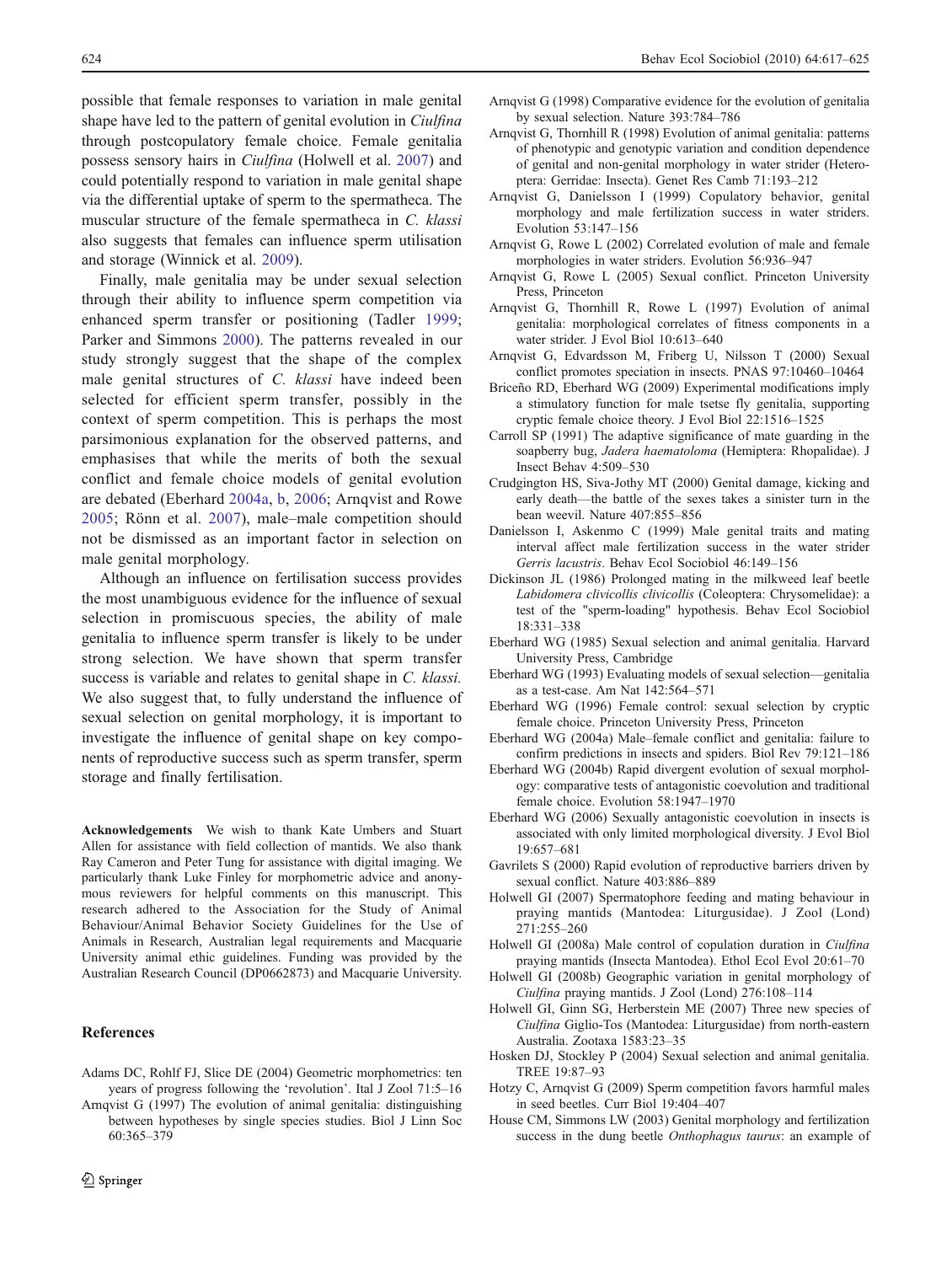<span id="page-7-0"></span>possible that female responses to variation in male genital shape have led to the pattern of genital evolution in *Ciulfina* through postcopulatory female choice. Female genitalia possess sensory hairs in Ciulfina (Holwell et al. 2007) and could potentially respond to variation in male genital shape via the differential uptake of sperm to the spermatheca. The muscular structure of the female spermatheca in C. klassi also suggests that females can influence sperm utilisation and storage (Winnick et al. [2009\)](#page-8-0).

Finally, male genitalia may be under sexual selection through their ability to influence sperm competition via enhanced sperm transfer or positioning (Tadler [1999](#page-8-0); Parker and Simmons [2000](#page-8-0)). The patterns revealed in our study strongly suggest that the shape of the complex male genital structures of C. klassi have indeed been selected for efficient sperm transfer, possibly in the context of sperm competition. This is perhaps the most parsimonious explanation for the observed patterns, and emphasises that while the merits of both the sexual conflict and female choice models of genital evolution are debated (Eberhard 2004a, b, 2006; Arnqvist and Rowe 2005; Rönn et al. [2007\)](#page-8-0), male–male competition should not be dismissed as an important factor in selection on male genital morphology.

Although an influence on fertilisation success provides the most unambiguous evidence for the influence of sexual selection in promiscuous species, the ability of male genitalia to influence sperm transfer is likely to be under strong selection. We have shown that sperm transfer success is variable and relates to genital shape in C. klassi. We also suggest that, to fully understand the influence of sexual selection on genital morphology, it is important to investigate the influence of genital shape on key components of reproductive success such as sperm transfer, sperm storage and finally fertilisation.

Acknowledgements We wish to thank Kate Umbers and Stuart Allen for assistance with field collection of mantids. We also thank Ray Cameron and Peter Tung for assistance with digital imaging. We particularly thank Luke Finley for morphometric advice and anonymous reviewers for helpful comments on this manuscript. This research adhered to the Association for the Study of Animal Behaviour/Animal Behavior Society Guidelines for the Use of Animals in Research, Australian legal requirements and Macquarie University animal ethic guidelines. Funding was provided by the Australian Research Council (DP0662873) and Macquarie University.

## References

- Adams DC, Rohlf FJ, Slice DE (2004) Geometric morphometrics: ten years of progress following the 'revolution'. Ital J Zool 71:5–16
- Arnqvist G (1997) The evolution of animal genitalia: distinguishing between hypotheses by single species studies. Biol J Linn Soc 60:365–379
- Arnqvist G (1998) Comparative evidence for the evolution of genitalia by sexual selection. Nature 393:784–786
- Arnqvist G, Thornhill R (1998) Evolution of animal genitalia: patterns of phenotypic and genotypic variation and condition dependence of genital and non-genital morphology in water strider (Heteroptera: Gerridae: Insecta). Genet Res Camb 71:193–212
- Arnqvist G, Danielsson I (1999) Copulatory behavior, genital morphology and male fertilization success in water striders. Evolution 53:147–156
- Arnqvist G, Rowe L (2002) Correlated evolution of male and female morphologies in water striders. Evolution 56:936–947
- Arnqvist G, Rowe L (2005) Sexual conflict. Princeton University Press, Princeton
- Arnqvist G, Thornhill R, Rowe L (1997) Evolution of animal genitalia: morphological correlates of fitness components in a water strider. J Evol Biol 10:613–640
- Arnqvist G, Edvardsson M, Friberg U, Nilsson T (2000) Sexual conflict promotes speciation in insects. PNAS 97:10460–10464
- Briceño RD, Eberhard WG (2009) Experimental modifications imply a stimulatory function for male tsetse fly genitalia, supporting cryptic female choice theory. J Evol Biol 22:1516–1525
- Carroll SP (1991) The adaptive significance of mate guarding in the soapberry bug, Jadera haematoloma (Hemiptera: Rhopalidae). J Insect Behav 4:509–530
- Crudgington HS, Siva-Jothy MT (2000) Genital damage, kicking and early death—the battle of the sexes takes a sinister turn in the bean weevil. Nature 407:855–856
- Danielsson I, Askenmo C (1999) Male genital traits and mating interval affect male fertilization success in the water strider Gerris lacustris. Behav Ecol Sociobiol 46:149–156
- Dickinson JL (1986) Prolonged mating in the milkweed leaf beetle Labidomera clivicollis clivicollis (Coleoptera: Chrysomelidae): a test of the "sperm-loading" hypothesis. Behav Ecol Sociobiol 18:331–338
- Eberhard WG (1985) Sexual selection and animal genitalia. Harvard University Press, Cambridge
- Eberhard WG (1993) Evaluating models of sexual selection—genitalia as a test-case. Am Nat 142:564–571
- Eberhard WG (1996) Female control: sexual selection by cryptic female choice. Princeton University Press, Princeton
- Eberhard WG (2004a) Male–female conflict and genitalia: failure to confirm predictions in insects and spiders. Biol Rev 79:121–186
- Eberhard WG (2004b) Rapid divergent evolution of sexual morphology: comparative tests of antagonistic coevolution and traditional female choice. Evolution 58:1947–1970
- Eberhard WG (2006) Sexually antagonistic coevolution in insects is associated with only limited morphological diversity. J Evol Biol 19:657–681
- Gavrilets S (2000) Rapid evolution of reproductive barriers driven by sexual conflict. Nature 403:886–889
- Holwell GI (2007) Spermatophore feeding and mating behaviour in praying mantids (Mantodea: Liturgusidae). J Zool (Lond) 271:255–260
- Holwell GI (2008a) Male control of copulation duration in Ciulfina praying mantids (Insecta Mantodea). Ethol Ecol Evol 20:61–70
- Holwell GI (2008b) Geographic variation in genital morphology of Ciulfina praying mantids. J Zool (Lond) 276:108–114
- Holwell GI, Ginn SG, Herberstein ME (2007) Three new species of Ciulfina Giglio-Tos (Mantodea: Liturgusidae) from north-eastern Australia. Zootaxa 1583:23–35
- Hosken DJ, Stockley P (2004) Sexual selection and animal genitalia. TREE 19:87–93
- Hotzy C, Arnqvist G (2009) Sperm competition favors harmful males in seed beetles. Curr Biol 19:404–407
- House CM, Simmons LW (2003) Genital morphology and fertilization success in the dung beetle Onthophagus taurus: an example of